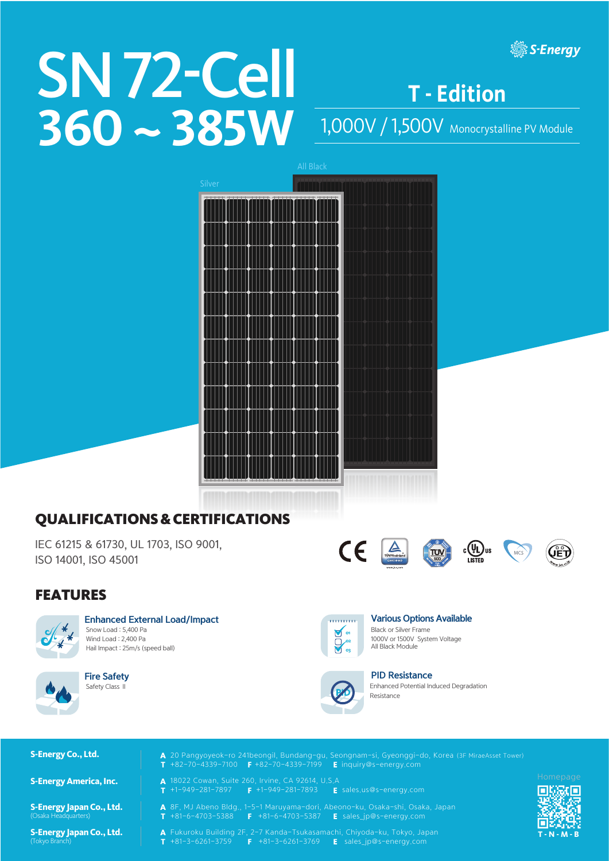# SN 72-Cell 360 ~ 385W 1,000V / 1,500V Monocrystalline PV Module

**T - Edition**

**. S-Energy** 



# QUALIFICATIONS & CERTIFICATIONS

IEC 61215 & 61730, UL 1703, ISO 9001, ISO 14001, ISO 45001

#### FEATURES



Enhanced External Load/Impact Snow Load : 5,400 Pa Wind Load : 2,400 Pa Hail Impact : 25m/s (speed ball)



Fire Safety Safety Class II



 $C\epsilon$ 

 $\sum_{\text{rowshcint}}$ 

Various Options Available Black or Silver Frame 1000V or 1500V System Voltage All Black Module

TUV

 $c(\Psi_L)$ us



#### PID Resistance Enhanced Potential Induced Degradation **PID** Resistance



**S-Energy Japan Co., Ltd.**

(Tokyo Branch) **S-Energy Japan Co., Ltd.**

- **S-Energy Co., Ltd.** 20 Pangyoyeok-ro 241beongil, Bundang-gu, Seongnam-si, Gyeonggi-do, Korea (3F MiraeAsset Tower)  $T +82-70-4339-7100$   $F +82-70-4339-7199$   $E$  inquiry@s-energy.com
- S-Energy America, Inc. **A** 18022 Cowan, Suite 260, Irvine, CA 92614, U.S.A<br>T +1-949-281-7897 F +1-949-281-7893 E sales.us@s-energy.com **CALCALCALCALCALCALC**  $+1-949-281-7897$  F  $+1-949-281-7893$ 
	- A 8F, MJ Abeno Bldg., 1-5-1 Maruyama-dori, Abeono-ku, Osaka-shi, Osaka, Japan<br>T +81-6-4703-5388 F +81-6-4703-5387 E sales ip@s-energy.com
- $\overline{S}$   $\overline{S}$   $\overline{S}$   $\overline{S}$  +81-6-4703-5388  $\overline{S}$  +81-6-4703-5387 **E** sales\_jp@s-energy.com
	- **A** Fukuroku Building 2F, 2-7 Kanda-Tsukasamachi, Chiyoda-ku, Tokyo, Japan<br>T +81-3-6261-3759 **F** +81-3-6261-3769 **E** sales\_jp@s-energy.com  $F$  +81-3-6261-3769  $F$  sales\_jp@s-energy.com